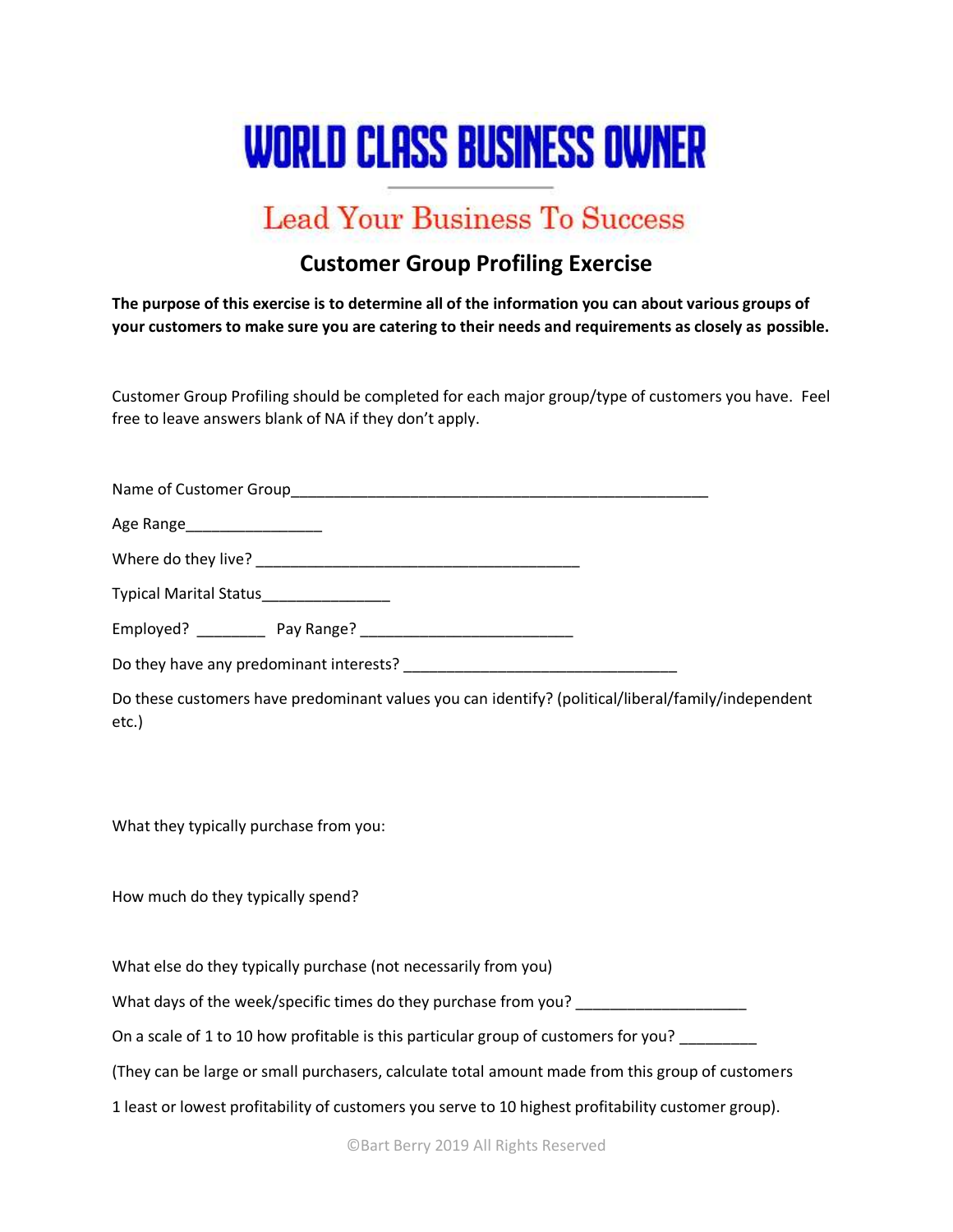# **WORLD CLASS BUSINESS OWNER**

# **Lead Your Business To Success**

## **Customer Group Profiling Exercise**

**The purpose of this exercise is to determine all of the information you can about various groups of your customers to make sure you are catering to their needs and requirements as closely as possible.**

Customer Group Profiling should be completed for each major group/type of customers you have. Feel free to leave answers blank of NA if they don't apply.

| Age Range_____________________         |                                                                 |                                                                                                     |
|----------------------------------------|-----------------------------------------------------------------|-----------------------------------------------------------------------------------------------------|
|                                        |                                                                 |                                                                                                     |
|                                        |                                                                 |                                                                                                     |
|                                        |                                                                 |                                                                                                     |
|                                        |                                                                 |                                                                                                     |
| etc.)                                  |                                                                 | Do these customers have predominant values you can identify? (political/liberal/family/independent  |
| What they typically purchase from you: |                                                                 |                                                                                                     |
| How much do they typically spend?      |                                                                 |                                                                                                     |
|                                        | What else do they typically purchase (not necessarily from you) |                                                                                                     |
|                                        |                                                                 | What days of the week/specific times do they purchase from you?                                     |
|                                        |                                                                 | On a scale of 1 to 10 how profitable is this particular group of customers for you? ________        |
|                                        |                                                                 | (They can be large or small purchasers, calculate total amount made from this group of customers    |
|                                        |                                                                 | 1 least or lowest profitability of customers you serve to 10 highest profitability customer group). |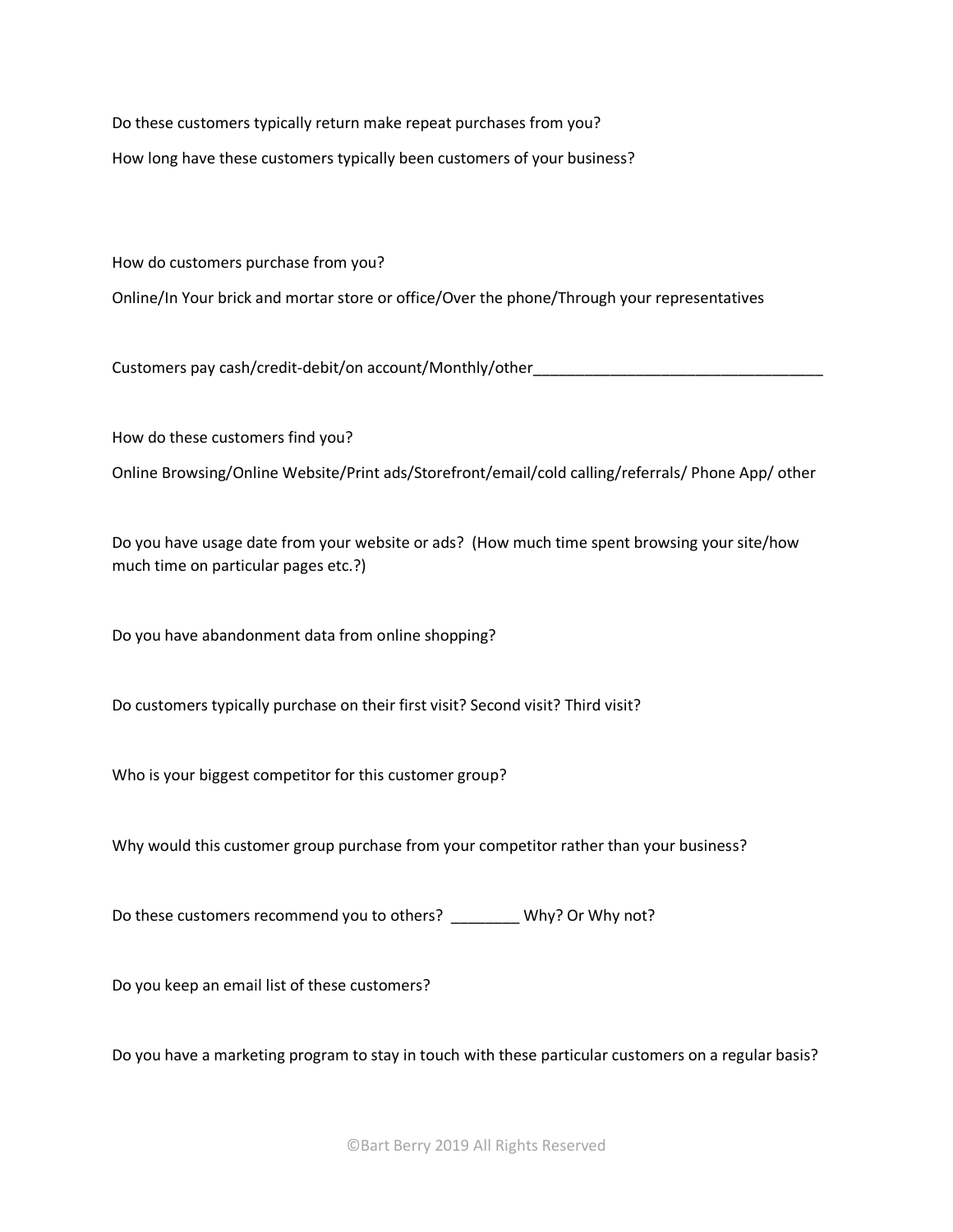Do these customers typically return make repeat purchases from you?

How long have these customers typically been customers of your business?

How do customers purchase from you?

Online/In Your brick and mortar store or office/Over the phone/Through your representatives

Customers pay cash/credit-debit/on account/Monthly/other\_\_\_\_\_\_\_\_\_\_\_\_\_\_\_\_\_\_\_\_\_\_\_\_

How do these customers find you?

Online Browsing/Online Website/Print ads/Storefront/email/cold calling/referrals/ Phone App/ other

Do you have usage date from your website or ads? (How much time spent browsing your site/how much time on particular pages etc.?)

Do you have abandonment data from online shopping?

Do customers typically purchase on their first visit? Second visit? Third visit?

Who is your biggest competitor for this customer group?

Why would this customer group purchase from your competitor rather than your business?

Do these customers recommend you to others? \_\_\_\_\_\_\_\_ Why? Or Why not?

Do you keep an email list of these customers?

Do you have a marketing program to stay in touch with these particular customers on a regular basis?